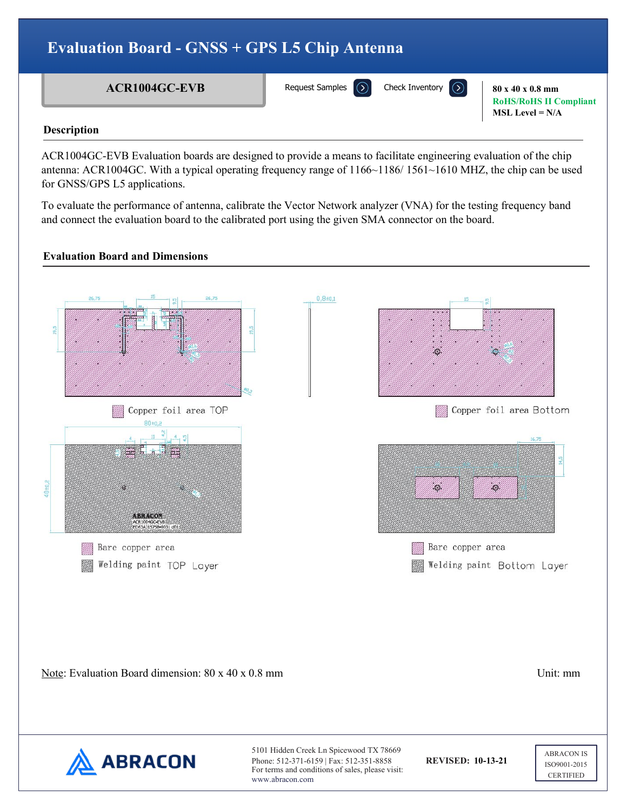## **Evaluation Board - GNSS + GPS L5 Chip Antenna**

**ACR1004GC-EVB** Request Samples (2) Check Inventory (2) 80 x 40 x 0.8 mm

[Request Samples](https://www.abraconlink.com/samplelink/samplerequest.php)

**RoHS/RoHS II Compliant MSL Level = N/A**

### **Description**

ACR1004GC-EVB Evaluation boards are designed to provide a means to facilitate engineering evaluation of the chip antenna: ACR1004GC. With a typical operating frequency range of 1166~1186/ 1561~1610 MHZ, the chip can be used for GNSS/GPS L5 applications.

To evaluate the performance of antenna, calibrate the Vector Network analyzer (VNA) for the testing frequency band and connect the evaluation board to the calibrated port using the given SMA connector on the board.

## **Evaluation Board and Dimensions**

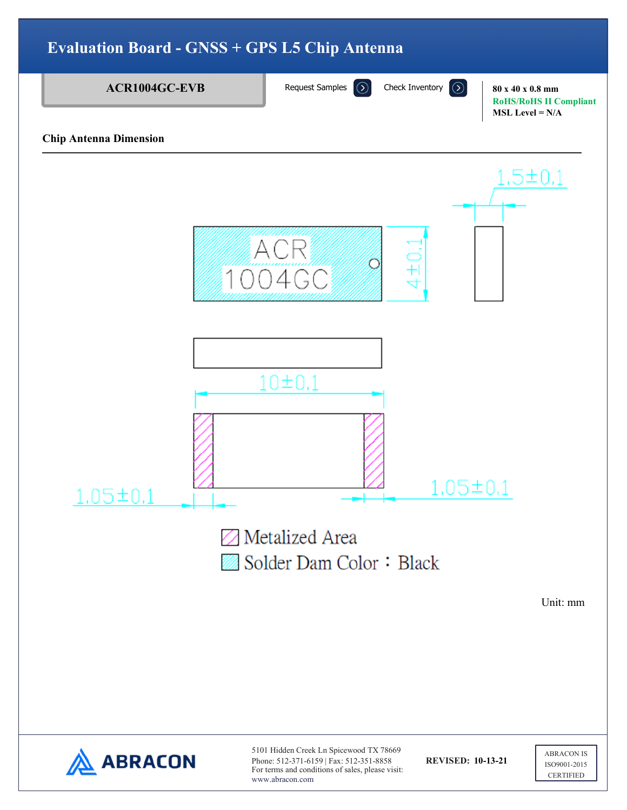